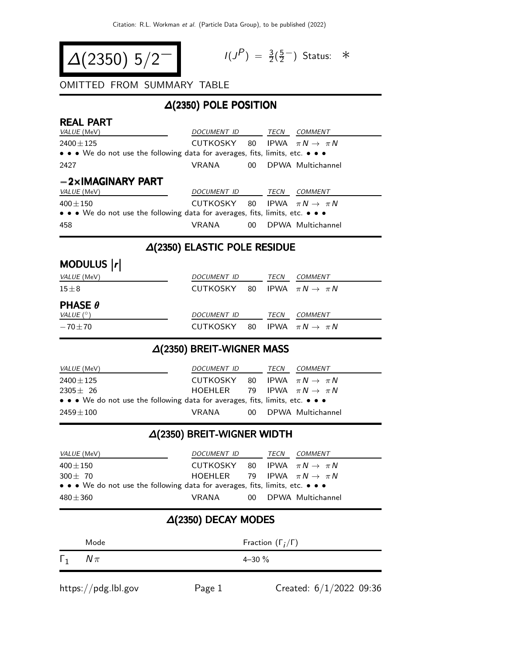$$
\Delta(2350) 5/2^-
$$

$$
I(J^P) = \frac{3}{2}(\frac{5}{2}^-)
$$
 Status:  $*$ 

### OMITTED FROM SUMMARY TABLE

#### ∆(2350) POLE POSITION

| <b>REAL PART</b><br><i>VALUE</i> (MeV)                                                                                                  | <i>DOCUMENT ID</i>                         |                 | TECN | COMMENT              |
|-----------------------------------------------------------------------------------------------------------------------------------------|--------------------------------------------|-----------------|------|----------------------|
| $2400 \pm 125$<br>$\bullet \bullet \bullet$ We do not use the following data for averages, fits, limits, etc. $\bullet \bullet \bullet$ | CUTKOSKY 80 IPWA $\pi N \rightarrow \pi N$ |                 |      |                      |
| 2427                                                                                                                                    | VRANA                                      |                 |      | 00 DPWA Multichannel |
| $-2\times$ IMAGINARY PART<br>VALUE (MeV)                                                                                                | DOCUMENT ID                                |                 | TECN | COMMENT              |
| $400 \pm 150$<br>• • • We do not use the following data for averages, fits, limits, etc. • • •                                          | CUTKOSKY 80 IPWA $\pi N \rightarrow \pi N$ |                 |      |                      |
| 458                                                                                                                                     | VRANA                                      | 00 <sup>°</sup> |      | DPWA Multichannel    |

#### ∆(2350) ELASTIC POLE RESIDUE

| MODULUS  r                       |                                            |  |      |                                |
|----------------------------------|--------------------------------------------|--|------|--------------------------------|
| <i>VALUE</i> (MeV)               | DOCUMENT ID                                |  | TECN | <b>COMMENT</b>                 |
| $15\pm8$                         | CUTKOSKY 80 IPWA $\pi N \rightarrow \pi N$ |  |      |                                |
| <b>PHASE <math>\theta</math></b> |                                            |  |      |                                |
| VALUE $(^\circ)$                 | DOCUMENT ID                                |  | TECN | <b>COMMENT</b>                 |
| $-70 + 70$                       | CUTKOSKY 80                                |  |      | IPWA $\pi N \rightarrow \pi N$ |

#### ∆(2350) BREIT-WIGNER MASS

| <i>VALUE</i> (MeV)                                                            | <i>DOCUMENT ID</i>                         |  | TECN | <i>COMMENT</i>       |  |
|-------------------------------------------------------------------------------|--------------------------------------------|--|------|----------------------|--|
| $2400 \pm 125$                                                                | CUTKOSKY 80 IPWA $\pi N \rightarrow \pi N$ |  |      |                      |  |
| $2305 + 26$                                                                   | HOEHLER 79 IPWA $\pi N \rightarrow \pi N$  |  |      |                      |  |
| • • • We do not use the following data for averages, fits, limits, etc. • • • |                                            |  |      |                      |  |
| $2459 + 100$                                                                  | VRANA                                      |  |      | 00 DPWA Multichannel |  |

## ∆(2350) BREIT-WIGNER WIDTH

| <i>VALUE</i> (MeV)                                                            | DOCUMENT ID                                |  | TECN | <i>COMMENT</i>       |  |  |
|-------------------------------------------------------------------------------|--------------------------------------------|--|------|----------------------|--|--|
| $400\pm150$                                                                   | CUTKOSKY 80 IPWA $\pi N \rightarrow \pi N$ |  |      |                      |  |  |
| $300 + 70$                                                                    | HOEHLER 79 IPWA $\pi N \rightarrow \pi N$  |  |      |                      |  |  |
| • • • We do not use the following data for averages, fits, limits, etc. • • • |                                            |  |      |                      |  |  |
| $480 \pm 360$                                                                 | VRANA                                      |  |      | 00 DPWA Multichannel |  |  |

# ∆(2350) DECAY MODES

|            | Mode   | Fraction $(\Gamma_i/\Gamma)$ |
|------------|--------|------------------------------|
| $\Gamma_1$ | $N\pi$ | $4 - 30 \%$                  |
|            |        |                              |